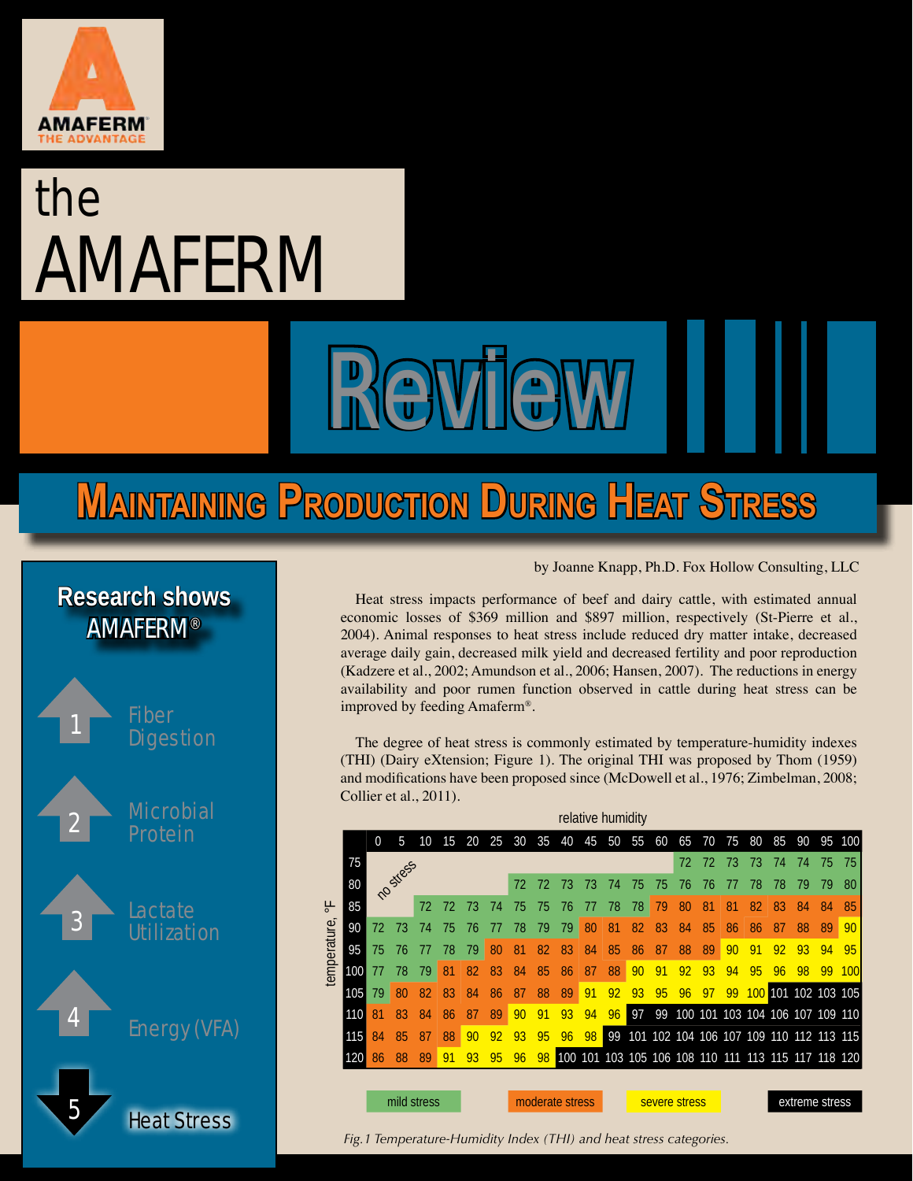

# the **AMAFERM**

# **Maintaining Production During Heat Stress**

Review



#### by Joanne Knapp, Ph.D. Fox Hollow Consulting, LLC

Heat stress impacts performance of beef and dairy cattle, with estimated annual economic losses of \$369 million and \$897 million, respectively (St-Pierre et al., 2004). Animal responses to heat stress include reduced dry matter intake, decreased average daily gain, decreased milk yield and decreased fertility and poor reproduction (Kadzere et al., 2002; Amundson et al., 2006; Hansen, 2007). The reductions in energy availability and poor rumen function observed in cattle during heat stress can be improved by feeding Amaferm®.

The degree of heat stress is commonly estimated by temperature-humidity indexes (THI) (Dairy eXtension; Figure 1). The original THI was proposed by Thom (1959) and modifications have been proposed since (McDowell et al., 1976; Zimbelman, 2008; Collier et al., 2011).

| relative humidity |     |                      |    |    |    |    |    |                 |    |    |    |    |               |    |    |    |    |                |    |                                                     |    |     |
|-------------------|-----|----------------------|----|----|----|----|----|-----------------|----|----|----|----|---------------|----|----|----|----|----------------|----|-----------------------------------------------------|----|-----|
|                   |     | $\overline{0}$       | 5  | 10 | 15 | 20 | 25 | 30              | 35 | 40 | 45 | 50 | 55            | 60 | 65 | 70 | 75 | 80             | 85 | 90                                                  | 95 | 100 |
| 닣<br>temperature  | 75  | nostress<br>72<br>72 |    |    |    |    |    |                 |    |    |    |    |               |    | 72 | 72 | 73 | 73             | 74 | 74                                                  | 75 | 75  |
|                   | 80  |                      |    |    |    |    |    | 72              | 72 | 73 | 73 | 74 | 75            | 75 | 76 | 76 | 77 | 78             | 78 | 79                                                  | 79 | 80  |
|                   | 85  |                      |    |    | 73 | 74 | 75 | 75              | 76 | 77 | 78 | 78 | 79            | 80 | 81 | 81 | 82 | 83             | 84 | 84                                                  | 85 |     |
|                   | 90  | 72                   | 73 | 74 | 75 | 76 | 77 | 78              | 79 | 79 | 80 | 81 | 82            | 83 | 84 | 85 | 86 | 86             | 87 | 88                                                  | 89 | 90  |
|                   | 95  | 75                   | 76 | 77 | 78 | 79 | 80 | 81              | 82 | 83 | 84 | 85 | 86            | 87 | 88 | 89 | 90 | 91             | 92 | 93                                                  | 94 | 95  |
|                   | 100 | 77                   | 78 | 79 | 81 | 82 | 83 | 84              | 85 | 86 | 87 | 88 | 90            | 91 | 92 | 93 | 94 | 95             | 96 | 98                                                  | 99 | 100 |
|                   | 105 | 79                   | 80 | 82 | 83 | 84 | 86 | 87              | 88 | 89 | 91 | 92 | 93            | 95 | 96 | 97 | 99 | 100            |    | 101 102 103 105                                     |    |     |
|                   | 110 | 81                   | 83 | 84 | 86 | 87 | 89 | 90              | 91 | 93 | 94 | 96 | 97            | 99 |    |    |    |                |    | 100 101 103 104 106 107 109 110                     |    |     |
|                   | 115 | 84                   | 85 | 87 | 88 | 90 | 92 | 93              | 95 | 96 | 98 | 99 |               |    |    |    |    |                |    | 101 102 104 106 107 109 110 112 113 115             |    |     |
|                   | 120 | 86                   | 88 | 89 | 91 | 93 | 95 | 96              | 98 |    |    |    |               |    |    |    |    |                |    | 100 101 103 105 106 108 110 111 113 115 117 118 120 |    |     |
|                   |     |                      |    |    |    |    |    |                 |    |    |    |    |               |    |    |    |    |                |    |                                                     |    |     |
|                   |     | mild stress          |    |    |    |    |    | moderate stress |    |    |    |    | severe stress |    |    |    |    | extreme stress |    |                                                     |    |     |
|                   |     |                      |    |    |    |    |    |                 |    |    |    |    |               |    |    |    |    |                |    |                                                     |    |     |

*Fig.1 Temperature-Humidity Index (THI) and heat stress categories.*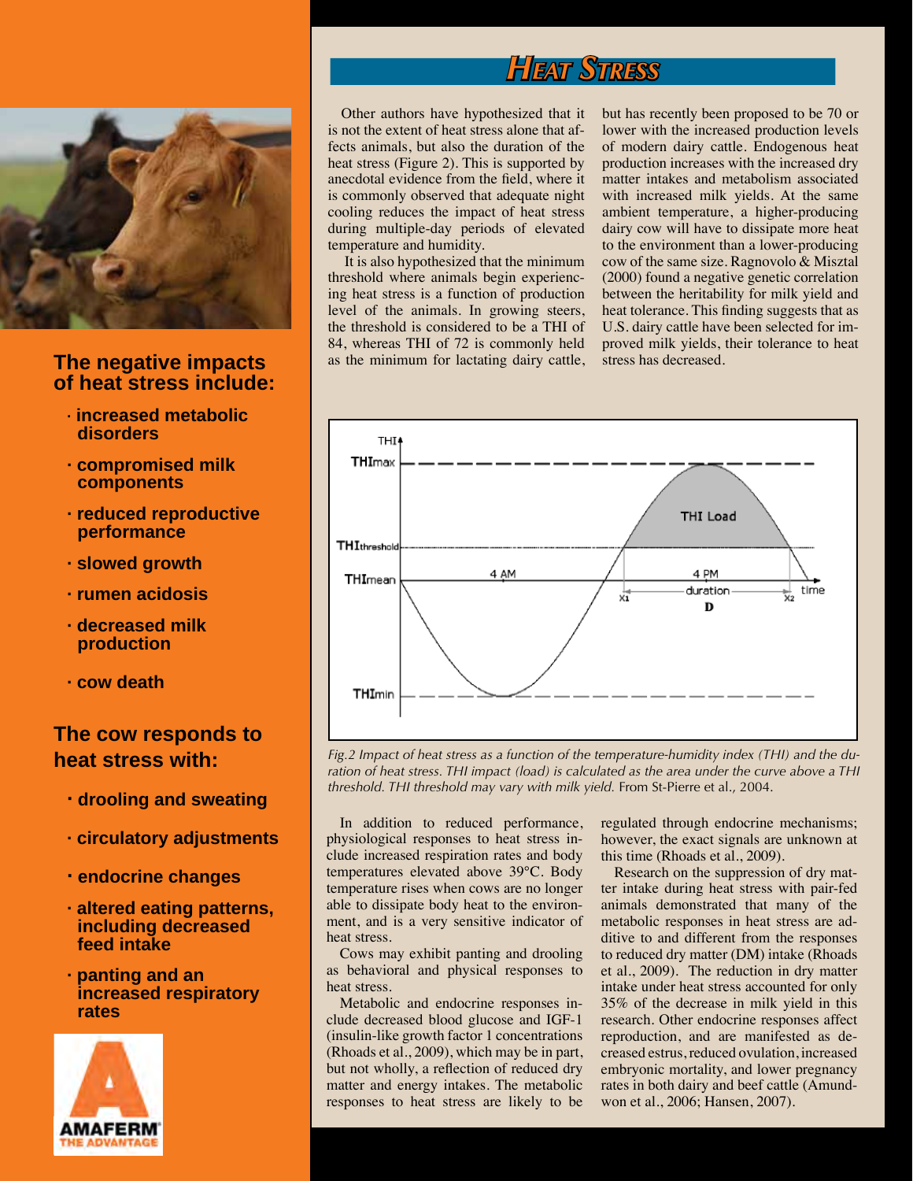# *Heat Stress*



#### **The negative impacts of heat stress include:**

- **· increased metabolic disorders**
- **· compromised milk components**
- **· reduced reproductive performance**
- **· slowed growth**
- **· rumen acidosis**
- **· decreased milk production**
- **· cow death**

#### **The cow responds to heat stress with:**

- **· drooling and sweating**
- **· circulatory adjustments**
- **· endocrine changes**
- **· altered eating patterns, including decreased feed intake**
- **· panting and an increased respiratory rates**



Other authors have hypothesized that it is not the extent of heat stress alone that affects animals, but also the duration of the heat stress (Figure 2). This is supported by anecdotal evidence from the field, where it is commonly observed that adequate night cooling reduces the impact of heat stress during multiple-day periods of elevated temperature and humidity.

 It is also hypothesized that the minimum threshold where animals begin experiencing heat stress is a function of production level of the animals. In growing steers, the threshold is considered to be a THI of 84, whereas THI of 72 is commonly held as the minimum for lactating dairy cattle, but has recently been proposed to be 70 or lower with the increased production levels of modern dairy cattle. Endogenous heat production increases with the increased dry matter intakes and metabolism associated with increased milk yields. At the same ambient temperature, a higher-producing dairy cow will have to dissipate more heat to the environment than a lower-producing cow of the same size. Ragnovolo & Misztal (2000) found a negative genetic correlation between the heritability for milk yield and heat tolerance. This finding suggests that as U.S. dairy cattle have been selected for improved milk yields, their tolerance to heat stress has decreased.



*Fig.2 Impact of heat stress as a function of the temperature-humidity index (THI) and the duration of heat stress. THI impact (load) is calculated as the area under the curve above a THI threshold. THI threshold may vary with milk yield.* From St-Pierre et al., 2004.

In addition to reduced performance, physiological responses to heat stress include increased respiration rates and body temperatures elevated above 39°C. Body temperature rises when cows are no longer able to dissipate body heat to the environment, and is a very sensitive indicator of heat stress.

Cows may exhibit panting and drooling as behavioral and physical responses to heat stress.

Metabolic and endocrine responses include decreased blood glucose and IGF-1 (insulin-like growth factor 1 concentrations (Rhoads et al., 2009), which may be in part, but not wholly, a reflection of reduced dry matter and energy intakes. The metabolic responses to heat stress are likely to be

regulated through endocrine mechanisms; however, the exact signals are unknown at this time (Rhoads et al., 2009).

Research on the suppression of dry matter intake during heat stress with pair-fed animals demonstrated that many of the metabolic responses in heat stress are additive to and different from the responses to reduced dry matter (DM) intake (Rhoads et al., 2009). The reduction in dry matter intake under heat stress accounted for only 35% of the decrease in milk yield in this research. Other endocrine responses affect reproduction, and are manifested as decreased estrus, reduced ovulation, increased embryonic mortality, and lower pregnancy rates in both dairy and beef cattle (Amundwon et al., 2006; Hansen, 2007).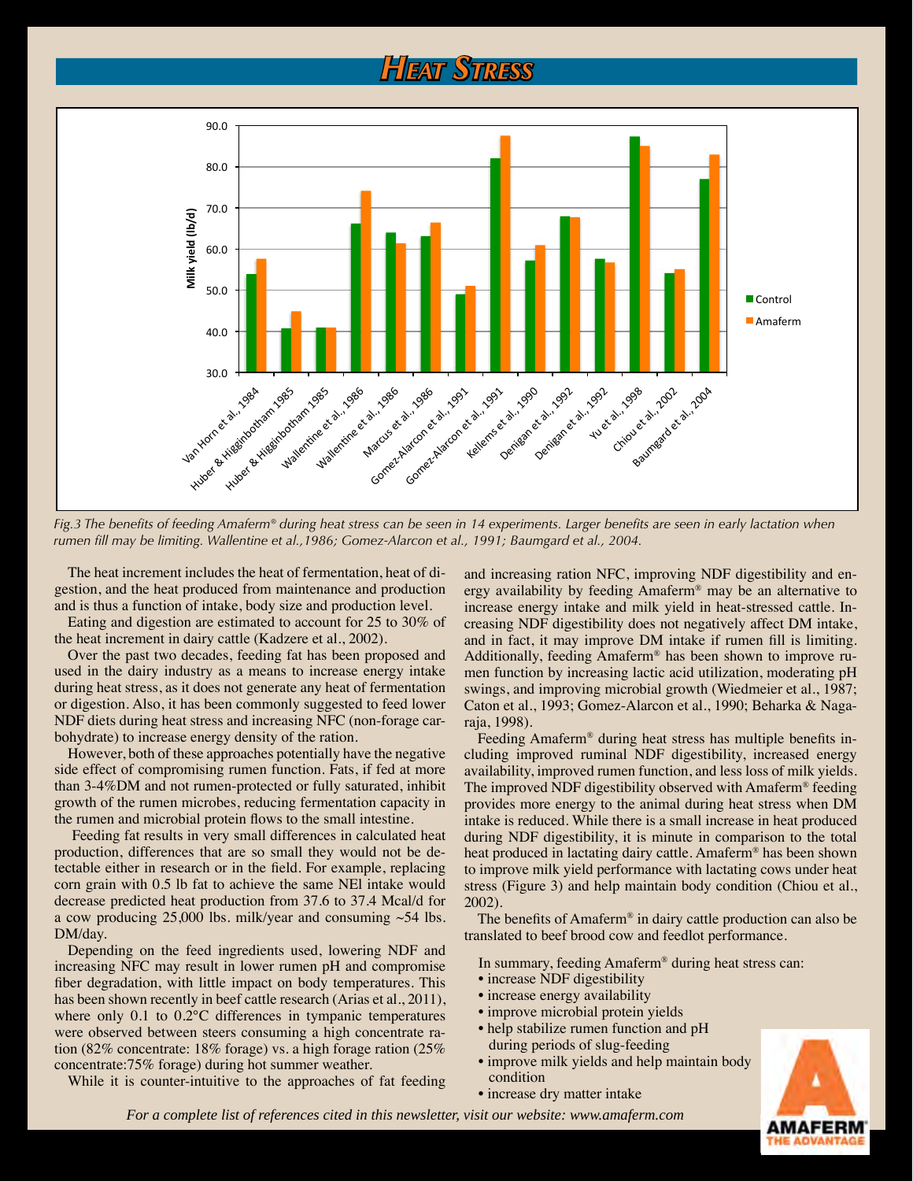## *Heat Stress*



*Fig.3 The benefits of feeding Amaferm® during heat stress can be seen in 14 experiments. Larger benefits are seen in early lactation when rumen fill may be limiting. Wallentine et al.,1986; Gomez-Alarcon et al., 1991; Baumgard et al., 2004.*

The heat increment includes the heat of fermentation, heat of digestion, and the heat produced from maintenance and production and is thus a function of intake, body size and production level.

Eating and digestion are estimated to account for 25 to 30% of the heat increment in dairy cattle (Kadzere et al., 2002).

Over the past two decades, feeding fat has been proposed and used in the dairy industry as a means to increase energy intake during heat stress, as it does not generate any heat of fermentation or digestion. Also, it has been commonly suggested to feed lower NDF diets during heat stress and increasing NFC (non-forage carbohydrate) to increase energy density of the ration.

However, both of these approaches potentially have the negative side effect of compromising rumen function. Fats, if fed at more than 3-4%DM and not rumen-protected or fully saturated, inhibit growth of the rumen microbes, reducing fermentation capacity in the rumen and microbial protein flows to the small intestine.

 Feeding fat results in very small differences in calculated heat production, differences that are so small they would not be detectable either in research or in the field. For example, replacing corn grain with 0.5 lb fat to achieve the same NEl intake would decrease predicted heat production from 37.6 to 37.4 Mcal/d for a cow producing  $25,000$  lbs. milk/year and consuming  $\sim$  54 lbs. DM/day.

Depending on the feed ingredients used, lowering NDF and increasing NFC may result in lower rumen pH and compromise fiber degradation, with little impact on body temperatures. This has been shown recently in beef cattle research (Arias et al., 2011), where only 0.1 to 0.2°C differences in tympanic temperatures were observed between steers consuming a high concentrate ration (82% concentrate: 18% forage) vs. a high forage ration (25% concentrate:75% forage) during hot summer weather.

While it is counter-intuitive to the approaches of fat feeding

and increasing ration NFC, improving NDF digestibility and energy availability by feeding Amaferm® may be an alternative to increase energy intake and milk yield in heat-stressed cattle. Increasing NDF digestibility does not negatively affect DM intake, and in fact, it may improve DM intake if rumen fill is limiting. Additionally, feeding Amaferm® has been shown to improve rumen function by increasing lactic acid utilization, moderating pH swings, and improving microbial growth (Wiedmeier et al., 1987; Caton et al., 1993; Gomez-Alarcon et al., 1990; Beharka & Nagaraja, 1998).

Feeding Amaferm® during heat stress has multiple benefits including improved ruminal NDF digestibility, increased energy availability, improved rumen function, and less loss of milk yields. The improved NDF digestibility observed with Amaferm® feeding provides more energy to the animal during heat stress when DM intake is reduced. While there is a small increase in heat produced during NDF digestibility, it is minute in comparison to the total heat produced in lactating dairy cattle. Amaferm® has been shown to improve milk yield performance with lactating cows under heat stress (Figure 3) and help maintain body condition (Chiou et al., 2002).

The benefits of Amaferm® in dairy cattle production can also be translated to beef brood cow and feedlot performance.

- In summary, feeding Amaferm® during heat stress can:
- increase NDF digestibility
- increase energy availability
- improve microbial protein yields
- help stabilize rumen function and pH during periods of slug-feeding
- improve milk yields and help maintain body condition
- increase dry matter intake

*For a complete list of references cited in this newsletter, visit our website: www.amaferm.com*